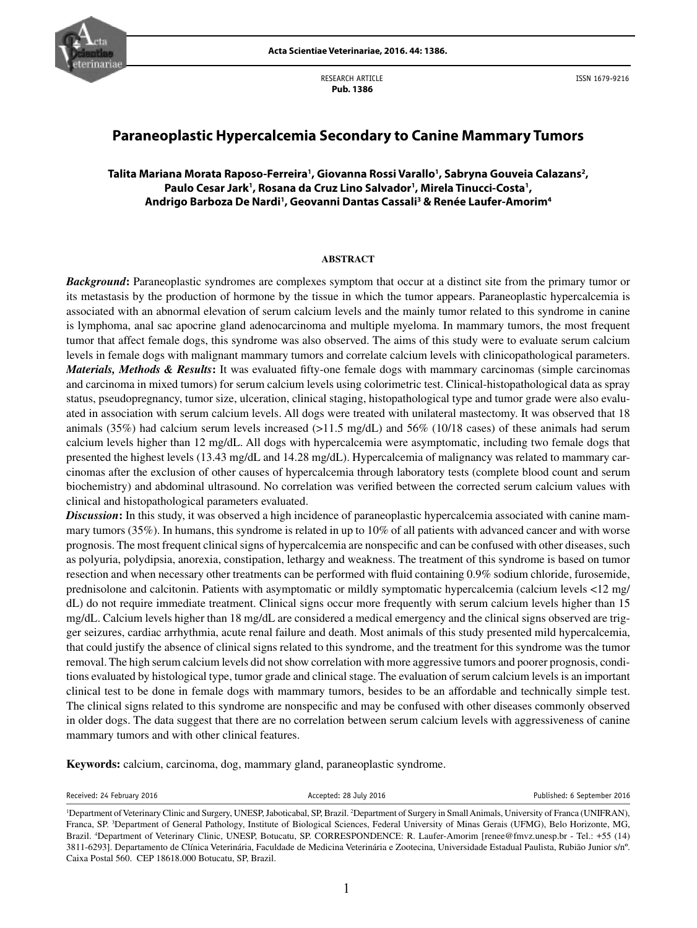

RESEARCH ARTICLE  **Pub. 1386**

ISSN 1679-9216

# **Paraneoplastic Hypercalcemia Secondary to Canine Mammary Tumors**

# **Talita Mariana Morata Raposo-Ferreira1 , Giovanna Rossi Varallo1 , Sabryna Gouveia Calazans2 ,**  Paulo Cesar Jark<sup>1</sup>, Rosana da Cruz Lino Salvador<sup>1</sup>, Mirela Tinucci-Costa<sup>1</sup>, **Andrigo Barboza De Nardi1 , Geovanni Dantas Cassali3 & Renée Laufer-Amorim4**

#### **ABSTRACT**

*Background*: Paraneoplastic syndromes are complexes symptom that occur at a distinct site from the primary tumor or its metastasis by the production of hormone by the tissue in which the tumor appears. Paraneoplastic hypercalcemia is associated with an abnormal elevation of serum calcium levels and the mainly tumor related to this syndrome in canine is lymphoma, anal sac apocrine gland adenocarcinoma and multiple myeloma. In mammary tumors, the most frequent tumor that affect female dogs, this syndrome was also observed. The aims of this study were to evaluate serum calcium levels in female dogs with malignant mammary tumors and correlate calcium levels with clinicopathological parameters. *Materials, Methods & Results*: It was evaluated fifty-one female dogs with mammary carcinomas (simple carcinomas and carcinoma in mixed tumors) for serum calcium levels using colorimetric test. Clinical-histopathological data as spray status, pseudopregnancy, tumor size, ulceration, clinical staging, histopathological type and tumor grade were also evaluated in association with serum calcium levels. All dogs were treated with unilateral mastectomy. It was observed that 18 animals (35%) had calcium serum levels increased (>11.5 mg/dL) and 56% (10/18 cases) of these animals had serum calcium levels higher than 12 mg/dL. All dogs with hypercalcemia were asymptomatic, including two female dogs that presented the highest levels (13.43 mg/dL and 14.28 mg/dL). Hypercalcemia of malignancy was related to mammary carcinomas after the exclusion of other causes of hypercalcemia through laboratory tests (complete blood count and serum biochemistry) and abdominal ultrasound. No correlation was verified between the corrected serum calcium values with clinical and histopathological parameters evaluated.

*Discussion***:** In this study, it was observed a high incidence of paraneoplastic hypercalcemia associated with canine mammary tumors (35%). In humans, this syndrome is related in up to 10% of all patients with advanced cancer and with worse prognosis. The most frequent clinical signs of hypercalcemia are nonspecific and can be confused with other diseases, such as polyuria, polydipsia, anorexia, constipation, lethargy and weakness. The treatment of this syndrome is based on tumor resection and when necessary other treatments can be performed with fluid containing 0.9% sodium chloride, furosemide, prednisolone and calcitonin. Patients with asymptomatic or mildly symptomatic hypercalcemia (calcium levels <12 mg/ dL) do not require immediate treatment. Clinical signs occur more frequently with serum calcium levels higher than 15 mg/dL. Calcium levels higher than 18 mg/dL are considered a medical emergency and the clinical signs observed are trigger seizures, cardiac arrhythmia, acute renal failure and death. Most animals of this study presented mild hypercalcemia, that could justify the absence of clinical signs related to this syndrome, and the treatment for this syndrome was the tumor removal. The high serum calcium levels did not show correlation with more aggressive tumors and poorer prognosis, conditions evaluated by histological type, tumor grade and clinical stage. The evaluation of serum calcium levels is an important clinical test to be done in female dogs with mammary tumors, besides to be an affordable and technically simple test. The clinical signs related to this syndrome are nonspecific and may be confused with other diseases commonly observed in older dogs. The data suggest that there are no correlation between serum calcium levels with aggressiveness of canine mammary tumors and with other clinical features.

**Keywords:** calcium, carcinoma, dog, mammary gland, paraneoplastic syndrome.

Received: 24 February 2016 **Accepted: 28 July 2016** Published: 6 September 2016

<sup>&</sup>lt;sup>1</sup>Department of Veterinary Clinic and Surgery, UNESP, Jaboticabal, SP, Brazil. <sup>2</sup>Department of Surgery in Small Animals, University of Franca (UNIFRAN), Franca, SP. <sup>3</sup>Department of General Pathology, Institute of Biological Sciences, Federal University of Minas Gerais (UFMG), Belo Horizonte, MG, Brazil. 4 Department of Veterinary Clinic, UNESP, Botucatu, SP. CORRESPONDENCE: R. Laufer-Amorim [renee@fmvz.unesp.br - Tel.: +55 (14) 3811-6293]. Departamento de Clínica Veterinária, Faculdade de Medicina Veterinária e Zootecina, Universidade Estadual Paulista, Rubião Junior s/nº. Caixa Postal 560. CEP 18618.000 Botucatu, SP, Brazil.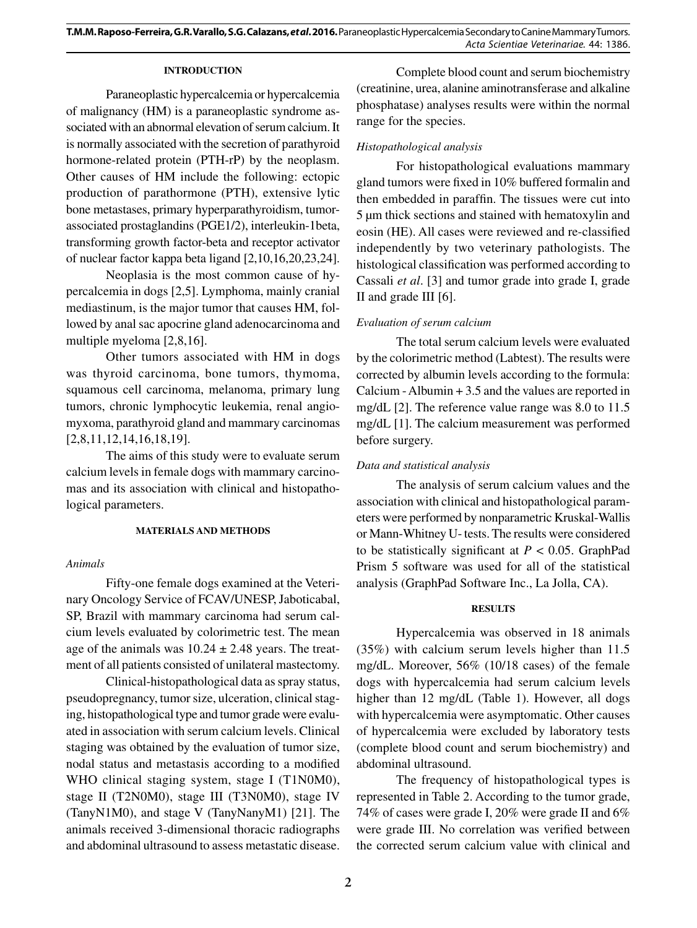## **INTRODUCTION**

Paraneoplastic hypercalcemia or hypercalcemia of malignancy (HM) is a paraneoplastic syndrome associated with an abnormal elevation of serum calcium. It is normally associated with the secretion of parathyroid hormone-related protein (PTH-rP) by the neoplasm. Other causes of HM include the following: ectopic production of parathormone (PTH), extensive lytic bone metastases, primary hyperparathyroidism, tumorassociated prostaglandins (PGE1/2), interleukin-1beta, transforming growth factor-beta and receptor activator of nuclear factor kappa beta ligand [2,10,16,20,23,24].

Neoplasia is the most common cause of hypercalcemia in dogs [2,5]. Lymphoma, mainly cranial mediastinum, is the major tumor that causes HM, followed by anal sac apocrine gland adenocarcinoma and multiple myeloma [2,8,16].

Other tumors associated with HM in dogs was thyroid carcinoma, bone tumors, thymoma, squamous cell carcinoma, melanoma, primary lung tumors, chronic lymphocytic leukemia, renal angiomyxoma, parathyroid gland and mammary carcinomas [2,8,11,12,14,16,18,19].

The aims of this study were to evaluate serum calcium levels in female dogs with mammary carcinomas and its association with clinical and histopathological parameters.

## **MATERIALS AND METHODS**

## *Animals*

Fifty-one female dogs examined at the Veterinary Oncology Service of FCAV/UNESP, Jaboticabal, SP, Brazil with mammary carcinoma had serum calcium levels evaluated by colorimetric test. The mean age of the animals was  $10.24 \pm 2.48$  years. The treatment of all patients consisted of unilateral mastectomy.

Clinical-histopathological data as spray status, pseudopregnancy, tumor size, ulceration, clinical staging, histopathological type and tumor grade were evaluated in association with serum calcium levels. Clinical staging was obtained by the evaluation of tumor size, nodal status and metastasis according to a modified WHO clinical staging system, stage I (T1N0M0), stage II (T2N0M0), stage III (T3N0M0), stage IV (TanyN1M0), and stage V (TanyNanyM1) [21]. The animals received 3-dimensional thoracic radiographs and abdominal ultrasound to assess metastatic disease.

Complete blood count and serum biochemistry (creatinine, urea, alanine aminotransferase and alkaline phosphatase) analyses results were within the normal range for the species.

# *Histopathological analysis*

For histopathological evaluations mammary gland tumors were fixed in 10% buffered formalin and then embedded in paraffin. The tissues were cut into 5 μm thick sections and stained with hematoxylin and eosin (HE). All cases were reviewed and re-classified independently by two veterinary pathologists. The histological classification was performed according to Cassali *et al*. [3] and tumor grade into grade I, grade II and grade III [6].

# *Evaluation of serum calcium*

The total serum calcium levels were evaluated by the colorimetric method (Labtest). The results were corrected by albumin levels according to the formula: Calcium - Albumin + 3.5 and the values are reported in mg/dL [2]. The reference value range was 8.0 to 11.5 mg/dL [1]. The calcium measurement was performed before surgery.

## *Data and statistical analysis*

The analysis of serum calcium values and the association with clinical and histopathological parameters were performed by nonparametric Kruskal-Wallis or Mann-Whitney U- tests. The results were considered to be statistically significant at  $P < 0.05$ . GraphPad Prism 5 software was used for all of the statistical analysis (GraphPad Software Inc., La Jolla, CA).

## **RESULTS**

Hypercalcemia was observed in 18 animals (35%) with calcium serum levels higher than 11.5 mg/dL. Moreover, 56% (10/18 cases) of the female dogs with hypercalcemia had serum calcium levels higher than 12 mg/dL (Table 1). However, all dogs with hypercalcemia were asymptomatic. Other causes of hypercalcemia were excluded by laboratory tests (complete blood count and serum biochemistry) and abdominal ultrasound.

The frequency of histopathological types is represented in Table 2. According to the tumor grade, 74% of cases were grade I, 20% were grade II and 6% were grade III. No correlation was verified between the corrected serum calcium value with clinical and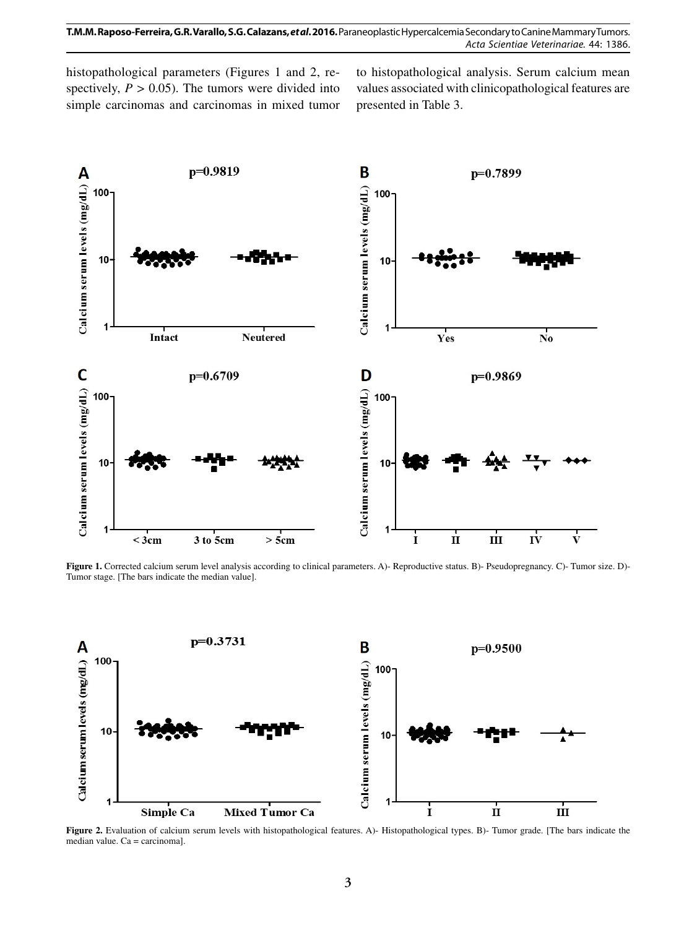histopathological parameters (Figures 1 and 2, respectively,  $P > 0.05$ ). The tumors were divided into simple carcinomas and carcinomas in mixed tumor to histopathological analysis. Serum calcium mean values associated with clinicopathological features are presented in Table 3.



Figure 1. Corrected calcium serum level analysis according to clinical parameters. A)-Reproductive status. B)-Pseudopregnancy. C)-Tumor size. D)-Tumor stage. [The bars indicate the median value].



Figure 2. Evaluation of calcium serum levels with histopathological features. A)- Histopathological types. B)- Tumor grade. [The bars indicate the median value. Ca = carcinoma].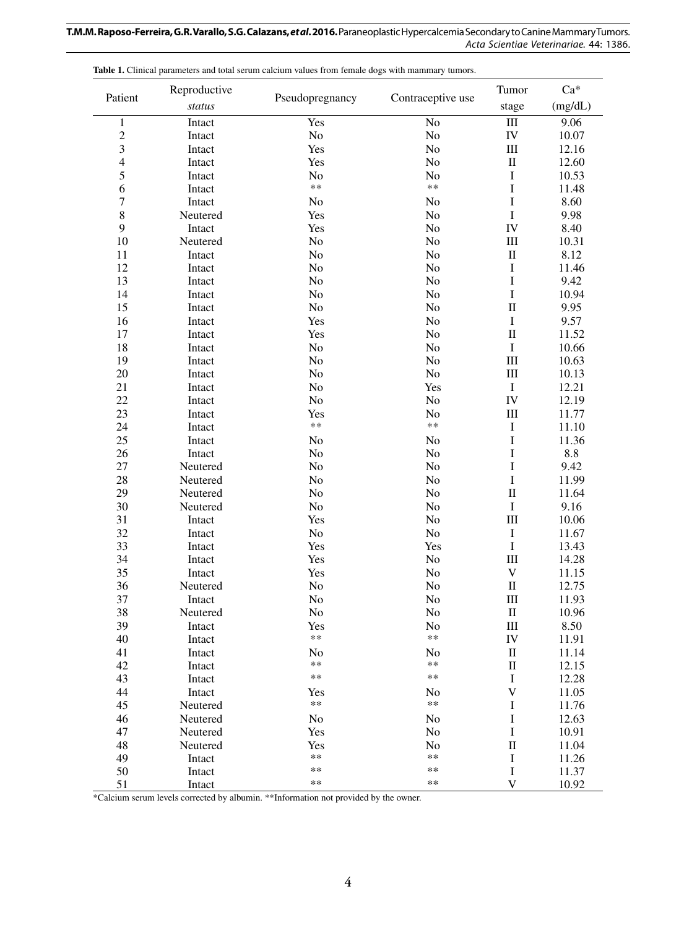| Patient                 | Reproductive |                 | Contraceptive use | Tumor                       | Ca*     |
|-------------------------|--------------|-----------------|-------------------|-----------------------------|---------|
|                         | status       | Pseudopregnancy |                   | stage                       | (mg/dL) |
| $\,1$                   | Intact       | Yes             | No                | $\rm III$                   | 9.06    |
| $\overline{c}$          | Intact       | $\rm No$        | No                | IV                          | 10.07   |
| $\overline{\mathbf{3}}$ | Intact       | Yes             | No                | $\rm III$                   | 12.16   |
| $\overline{4}$          | Intact       | Yes             | No                | $\rm II$                    | 12.60   |
| $\sqrt{5}$              | Intact       | No              | No                | I                           | 10.53   |
| 6                       | Intact       | **              | $**$              | $\bf I$                     | 11.48   |
| $\boldsymbol{7}$        | Intact       | No              | No                | I                           | 8.60    |
| $\,8\,$                 | Neutered     | Yes             | No                | I                           | 9.98    |
| 9                       | Intact       | Yes             | No                | IV                          | 8.40    |
| 10                      | Neutered     | No              | No                | $\rm III$                   | 10.31   |
| 11                      | Intact       | No              | No                | $\mathbf{I}$                | 8.12    |
| 12                      | Intact       | No              | No                | I                           | 11.46   |
| 13                      | Intact       | No              | No                | I                           | 9.42    |
| 14                      | Intact       | No              | No                | I                           | 10.94   |
| 15                      | Intact       | No              | No                | $\mathbf{I}$                | 9.95    |
| 16                      | Intact       | Yes             | No                | I                           | 9.57    |
| 17                      | Intact       | Yes             | No                | $\mathbf{I}$                | 11.52   |
| 18                      | Intact       | No              | No                | I                           | 10.66   |
| 19                      | Intact       | No              | No                | $\rm III$                   | 10.63   |
| 20                      | Intact       | No              | No                | III                         | 10.13   |
| 21                      | Intact       | No              | Yes               | $\bf I$                     | 12.21   |
| 22                      | Intact       | No              | No                | IV                          | 12.19   |
| 23                      | Intact       | Yes             | No                | $\rm III$                   | 11.77   |
| 24                      | Intact       | $***$           | $**$              | I                           | 11.10   |
| 25                      | Intact       | No              | No                | $\mathbf I$                 | 11.36   |
| 26                      | Intact       | No              | No                | I                           | 8.8     |
| $27\,$                  | Neutered     | No              | No                | $\bf I$                     | 9.42    |
| 28                      | Neutered     | No              | No                | I                           | 11.99   |
| 29                      | Neutered     | No              | No                | $\mathbf I$                 | 11.64   |
| 30                      | Neutered     | No              | No                | I                           | 9.16    |
| 31                      | Intact       | Yes             | No                | III                         | 10.06   |
| 32                      | Intact       | No              | No                | I                           | 11.67   |
| 33                      | Intact       | Yes             | Yes               | I                           | 13.43   |
| 34                      | Intact       | Yes             | No                | $\rm III$                   | 14.28   |
| 35                      | Intact       | Yes             | No                | $\mathbf V$                 | 11.15   |
| 36                      | Neutered     | No              | No                | $\rm II$                    | 12.75   |
| 37                      | Intact       | No              | No                | $\mathop{\rm III}\nolimits$ | 11.93   |
| 38                      | Neutered     | No              | No                | $\rm II$                    | 10.96   |
| 39                      | Intact       | Yes             | No                | $\rm III$                   | 8.50    |
| 40                      | Intact       | **              | **                | ${\rm IV}$                  | 11.91   |
| 41                      | Intact       | No              | N <sub>o</sub>    | $\mathbf{I}$                | 11.14   |
| 42                      | Intact       | **              | $***$             | $\rm II$                    | 12.15   |
| 43                      | Intact       | **              | **                | I                           | 12.28   |
| 44                      | Intact       | Yes             | N <sub>o</sub>    | $\boldsymbol{\mathrm{V}}$   | 11.05   |
| 45                      | Neutered     | **              | **                | I                           | 11.76   |
| 46                      | Neutered     | No              | No                | I                           | 12.63   |
| 47                      | Neutered     | Yes             | No                | I                           | 10.91   |
| 48                      | Neutered     | Yes             | N <sub>o</sub>    | $\rm II$                    | 11.04   |
| 49                      | Intact       | **              | $***$             | $\bf I$                     | 11.26   |
| 50                      | Intact       | **              | $***$             | $\bf I$                     | 11.37   |
| 51                      | Intact       | **              | $***$             | $\ensuremath{\mathbf{V}}$   | 10.92   |

Table 1. Clinical parameters and total serum calcium values from female dogs with mammary tumors.

\*Calcium serum levels corrected by albumin. \*\*Information not provided by the owner.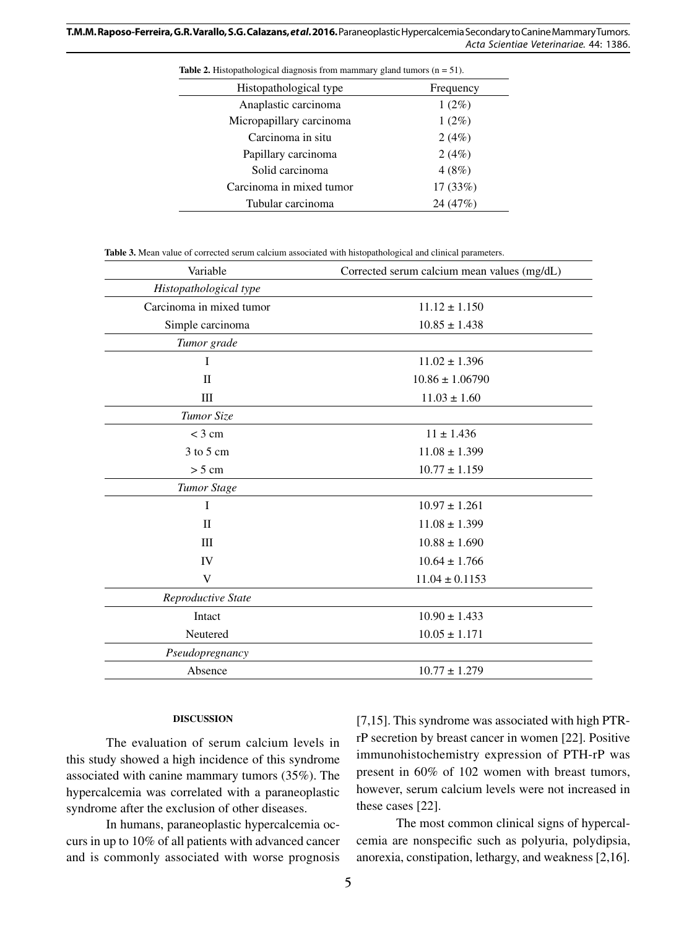**T.M.M. Raposo-Ferreira, G.R. Varallo, S.G. Calazans,** *et al***. 2016.** Paraneoplastic Hypercalcemia Secondary to Canine Mammary Tumors. *Acta Scientiae Veterinariae*. 44: 1386.

| <b>Table 2.</b> Histopathological diagnosis from mammary gland tumors $(n = 51)$ . |           |  |  |
|------------------------------------------------------------------------------------|-----------|--|--|
| Histopathological type                                                             | Frequency |  |  |
| Anaplastic carcinoma                                                               | $1(2\%)$  |  |  |
| Micropapillary carcinoma                                                           | $1(2\%)$  |  |  |
| Carcinoma in situ                                                                  | 2(4%)     |  |  |
| Papillary carcinoma                                                                | 2(4%)     |  |  |
| Solid carcinoma                                                                    | 4(8%)     |  |  |
| Carcinoma in mixed tumor                                                           | 17(33%)   |  |  |
| Tubular carcinoma                                                                  | 24(47%)   |  |  |

**Table 3.** Mean value of corrected serum calcium associated with histopathological and clinical parameters.

| Corrected serum calcium mean values (mg/dL) |  |
|---------------------------------------------|--|
|                                             |  |
| $11.12 \pm 1.150$                           |  |
| $10.85 \pm 1.438$                           |  |
|                                             |  |
| $11.02 \pm 1.396$                           |  |
| $10.86 \pm 1.06790$                         |  |
| $11.03 \pm 1.60$                            |  |
|                                             |  |
| $11 \pm 1.436$                              |  |
| $11.08 \pm 1.399$                           |  |
| $10.77 \pm 1.159$                           |  |
|                                             |  |
| $10.97 \pm 1.261$                           |  |
| $11.08 \pm 1.399$                           |  |
| $10.88 \pm 1.690$                           |  |
| $10.64 \pm 1.766$                           |  |
| $11.04 \pm 0.1153$                          |  |
|                                             |  |
| $10.90 \pm 1.433$                           |  |
| $10.05 \pm 1.171$                           |  |
|                                             |  |
| $10.77 \pm 1.279$                           |  |
|                                             |  |

#### **DISCUSSION**

The evaluation of serum calcium levels in this study showed a high incidence of this syndrome associated with canine mammary tumors (35%). The hypercalcemia was correlated with a paraneoplastic syndrome after the exclusion of other diseases.

In humans, paraneoplastic hypercalcemia occurs in up to 10% of all patients with advanced cancer and is commonly associated with worse prognosis [7,15]. This syndrome was associated with high PTRrP secretion by breast cancer in women [22]. Positive immunohistochemistry expression of PTH-rP was present in 60% of 102 women with breast tumors, however, serum calcium levels were not increased in these cases [22].

The most common clinical signs of hypercalcemia are nonspecific such as polyuria, polydipsia, anorexia, constipation, lethargy, and weakness [2,16].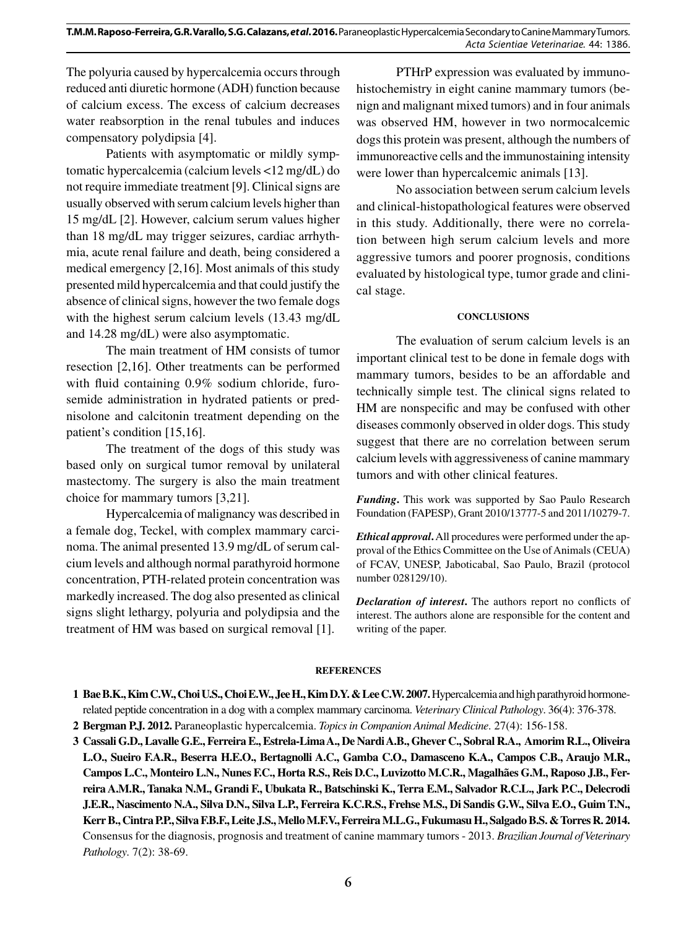The polyuria caused by hypercalcemia occurs through reduced anti diuretic hormone (ADH) function because of calcium excess. The excess of calcium decreases water reabsorption in the renal tubules and induces compensatory polydipsia [4].

Patients with asymptomatic or mildly symptomatic hypercalcemia (calcium levels <12 mg/dL) do not require immediate treatment [9]. Clinical signs are usually observed with serum calcium levels higher than 15 mg/dL [2]. However, calcium serum values higher than 18 mg/dL may trigger seizures, cardiac arrhythmia, acute renal failure and death, being considered a medical emergency [2,16]. Most animals of this study presented mild hypercalcemia and that could justify the absence of clinical signs, however the two female dogs with the highest serum calcium levels (13.43 mg/dL) and 14.28 mg/dL) were also asymptomatic.

The main treatment of HM consists of tumor resection [2,16]. Other treatments can be performed with fluid containing 0.9% sodium chloride, furosemide administration in hydrated patients or prednisolone and calcitonin treatment depending on the patient's condition [15,16].

The treatment of the dogs of this study was based only on surgical tumor removal by unilateral mastectomy. The surgery is also the main treatment choice for mammary tumors [3,21].

Hypercalcemia of malignancy was described in a female dog, Teckel, with complex mammary carcinoma. The animal presented 13.9 mg/dL of serum calcium levels and although normal parathyroid hormone concentration, PTH-related protein concentration was markedly increased. The dog also presented as clinical signs slight lethargy, polyuria and polydipsia and the treatment of HM was based on surgical removal [1].

PTHrP expression was evaluated by immunohistochemistry in eight canine mammary tumors (benign and malignant mixed tumors) and in four animals was observed HM, however in two normocalcemic dogs this protein was present, although the numbers of immunoreactive cells and the immunostaining intensity were lower than hypercalcemic animals [13].

No association between serum calcium levels and clinical-histopathological features were observed in this study. Additionally, there were no correlation between high serum calcium levels and more aggressive tumors and poorer prognosis, conditions evaluated by histological type, tumor grade and clinical stage.

#### **CONCLUSIONS**

The evaluation of serum calcium levels is an important clinical test to be done in female dogs with mammary tumors, besides to be an affordable and technically simple test. The clinical signs related to HM are nonspecific and may be confused with other diseases commonly observed in older dogs. This study suggest that there are no correlation between serum calcium levels with aggressiveness of canine mammary tumors and with other clinical features.

*Funding***.** This work was supported by Sao Paulo Research Foundation (FAPESP), Grant 2010/13777-5 and 2011/10279-7.

*Ethical approval***.** All procedures were performed under the approval of the Ethics Committee on the Use of Animals (CEUA) of FCAV, UNESP, Jaboticabal, Sao Paulo, Brazil (protocol number 028129/10).

*Declaration of interest***.** The authors report no conflicts of interest. The authors alone are responsible for the content and writing of the paper.

#### **REFERENCES**

**1 Bae B.K., Kim C.W., Choi U.S., Choi E.W., Jee H., Kim D.Y. & Lee C.W. 2007.** Hypercalcemia and high parathyroid hormonerelated peptide concentration in a dog with a complex mammary carcinoma. *Veterinary Clinical Pathology*. 36(4): 376-378.

**2 Bergman P.J. 2012.** Paraneoplastic hypercalcemia. *Topics in Companion Animal Medicine*. 27(4): 156-158.

**3 Cassali G.D., Lavalle G.E., Ferreira E., Estrela-Lima A., De Nardi A.B., Ghever C., Sobral R.A., Amorim R.L., Oliveira L.O., Sueiro F.A.R., Beserra H.E.O., Bertagnolli A.C., Gamba C.O., Damasceno K.A., Campos C.B., Araujo M.R., Campos L.C., Monteiro L.N., Nunes F.C., Horta R.S., Reis D.C., Luvizotto M.C.R., Magalhães G.M., Raposo J.B., Ferreira A.M.R., Tanaka N.M., Grandi F., Ubukata R., Batschinski K., Terra E.M., Salvador R.C.L., Jark P.C., Delecrodi J.E.R., Nascimento N.A., Silva D.N., Silva L.P., Ferreira K.C.R.S., Frehse M.S., Di Sandis G.W., Silva E.O., Guim T.N., Kerr B., Cintra P.P., Silva F.B.F., Leite J.S., Mello M.F.V., Ferreira M.L.G., Fukumasu H., Salgado B.S. & Torres R. 2014.** Consensus for the diagnosis, prognosis and treatment of canine mammary tumors - 2013. *Brazilian Journal of Veterinary Pathology*. 7(2): 38-69.